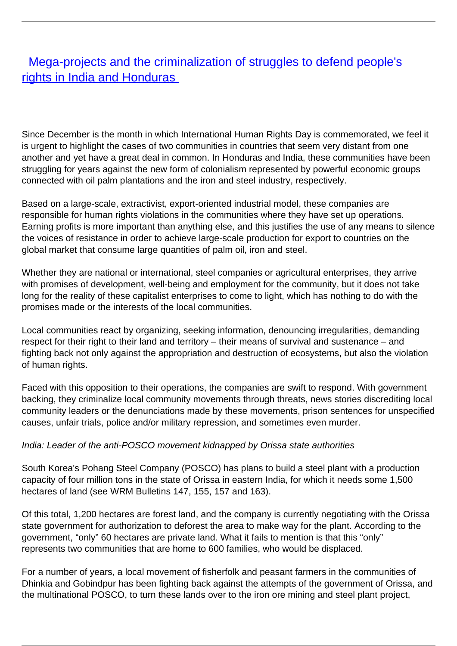## [Mega-projects and the criminalization of struggles to defend people's](/bulletin-articles/mega-projects-and-the-criminalization-of-struggles-to-defend-peoples-rights-in-india-and-honduras) [rights in India and Honduras](/bulletin-articles/mega-projects-and-the-criminalization-of-struggles-to-defend-peoples-rights-in-india-and-honduras)

Since December is the month in which International Human Rights Day is commemorated, we feel it is urgent to highlight the cases of two communities in countries that seem very distant from one another and yet have a great deal in common. In Honduras and India, these communities have been struggling for years against the new form of colonialism represented by powerful economic groups connected with oil palm plantations and the iron and steel industry, respectively.

Based on a large-scale, extractivist, export-oriented industrial model, these companies are responsible for human rights violations in the communities where they have set up operations. Earning profits is more important than anything else, and this justifies the use of any means to silence the voices of resistance in order to achieve large-scale production for export to countries on the global market that consume large quantities of palm oil, iron and steel.

Whether they are national or international, steel companies or agricultural enterprises, they arrive with promises of development, well-being and employment for the community, but it does not take long for the reality of these capitalist enterprises to come to light, which has nothing to do with the promises made or the interests of the local communities.

Local communities react by organizing, seeking information, denouncing irregularities, demanding respect for their right to their land and territory – their means of survival and sustenance – and fighting back not only against the appropriation and destruction of ecosystems, but also the violation of human rights.

Faced with this opposition to their operations, the companies are swift to respond. With government backing, they criminalize local community movements through threats, news stories discrediting local community leaders or the denunciations made by these movements, prison sentences for unspecified causes, unfair trials, police and/or military repression, and sometimes even murder.

## India: Leader of the anti-POSCO movement kidnapped by Orissa state authorities

South Korea's Pohang Steel Company (POSCO) has plans to build a steel plant with a production capacity of four million tons in the state of Orissa in eastern India, for which it needs some 1,500 hectares of land (see WRM Bulletins 147, 155, 157 and 163).

Of this total, 1,200 hectares are forest land, and the company is currently negotiating with the Orissa state government for authorization to deforest the area to make way for the plant. According to the government, "only" 60 hectares are private land. What it fails to mention is that this "only" represents two communities that are home to 600 families, who would be displaced.

For a number of years, a local movement of fisherfolk and peasant farmers in the communities of Dhinkia and Gobindpur has been fighting back against the attempts of the government of Orissa, and the multinational POSCO, to turn these lands over to the iron ore mining and steel plant project,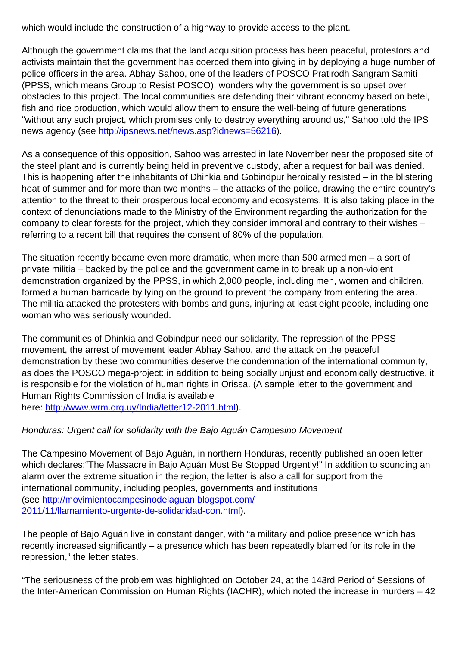which would include the construction of a highway to provide access to the plant.

Although the government claims that the land acquisition process has been peaceful, protestors and activists maintain that the government has coerced them into giving in by deploying a huge number of police officers in the area. Abhay Sahoo, one of the leaders of POSCO Pratirodh Sangram Samiti (PPSS, which means Group to Resist POSCO), wonders why the government is so upset over obstacles to this project. The local communities are defending their vibrant economy based on betel, fish and rice production, which would allow them to ensure the well-being of future generations "without any such project, which promises only to destroy everything around us," Sahoo told the IPS news agency (see<http://ipsnews.net/news.asp?idnews=56216>).

As a consequence of this opposition, Sahoo was arrested in late November near the proposed site of the steel plant and is currently being held in preventive custody, after a request for bail was denied. This is happening after the inhabitants of Dhinkia and Gobindpur heroically resisted – in the blistering heat of summer and for more than two months – the attacks of the police, drawing the entire country's attention to the threat to their prosperous local economy and ecosystems. It is also taking place in the context of denunciations made to the Ministry of the Environment regarding the authorization for the company to clear forests for the project, which they consider immoral and contrary to their wishes – referring to a recent bill that requires the consent of 80% of the population.

The situation recently became even more dramatic, when more than 500 armed men – a sort of private militia – backed by the police and the government came in to break up a non-violent demonstration organized by the PPSS, in which 2,000 people, including men, women and children, formed a human barricade by lying on the ground to prevent the company from entering the area. The militia attacked the protesters with bombs and guns, injuring at least eight people, including one woman who was seriously wounded.

The communities of Dhinkia and Gobindpur need our solidarity. The repression of the PPSS movement, the arrest of movement leader Abhay Sahoo, and the attack on the peaceful demonstration by these two communities deserve the condemnation of the international community, as does the POSCO mega-project: in addition to being socially unjust and economically destructive, it is responsible for the violation of human rights in Orissa. (A sample letter to the government and Human Rights Commission of India is available here:<http://www.wrm.org.uy/India/letter12-2011.html>).

## Honduras: Urgent call for solidarity with the Bajo Aguán Campesino Movement

The Campesino Movement of Bajo Aguán, in northern Honduras, recently published an open letter which declares:"The Massacre in Bajo Aguán Must Be Stopped Urgently!" In addition to sounding an alarm over the extreme situation in the region, the letter is also a call for support from the international community, including peoples, governments and institutions (see [http://movimientocampesinodelaguan.blogspot.com/](http://movimientocampesinodelaguan.blogspot.com/2011/11/llamamiento-urgente-de-solidaridad-con.html) [2011/11/llamamiento-urgente-de-solidaridad-con.html](http://movimientocampesinodelaguan.blogspot.com/2011/11/llamamiento-urgente-de-solidaridad-con.html)).

The people of Bajo Aguán live in constant danger, with "a military and police presence which has recently increased significantly – a presence which has been repeatedly blamed for its role in the repression," the letter states.

"The seriousness of the problem was highlighted on October 24, at the 143rd Period of Sessions of the Inter-American Commission on Human Rights (IACHR), which noted the increase in murders – 42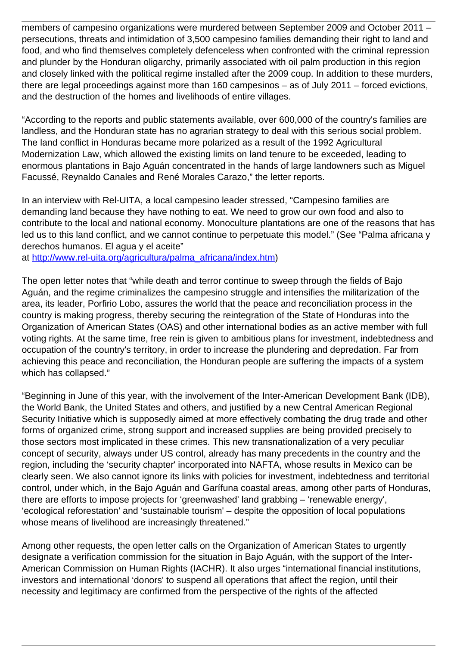members of campesino organizations were murdered between September 2009 and October 2011 – persecutions, threats and intimidation of 3,500 campesino families demanding their right to land and food, and who find themselves completely defenceless when confronted with the criminal repression and plunder by the Honduran oligarchy, primarily associated with oil palm production in this region and closely linked with the political regime installed after the 2009 coup. In addition to these murders, there are legal proceedings against more than 160 campesinos – as of July 2011 – forced evictions, and the destruction of the homes and livelihoods of entire villages.

"According to the reports and public statements available, over 600,000 of the country's families are landless, and the Honduran state has no agrarian strategy to deal with this serious social problem. The land conflict in Honduras became more polarized as a result of the 1992 Agricultural Modernization Law, which allowed the existing limits on land tenure to be exceeded, leading to enormous plantations in Bajo Aguán concentrated in the hands of large landowners such as Miguel Facussé, Reynaldo Canales and René Morales Carazo," the letter reports.

In an interview with Rel-UITA, a local campesino leader stressed, "Campesino families are demanding land because they have nothing to eat. We need to grow our own food and also to contribute to the local and national economy. Monoculture plantations are one of the reasons that has led us to this land conflict, and we cannot continue to perpetuate this model." (See "Palma africana y derechos humanos. El agua y el aceite"

at [http://www.rel-uita.org/agricultura/palma\\_africana/index.htm](http://www.rel-uita.org/agricultura/palma_africana/index.htm))

The open letter notes that "while death and terror continue to sweep through the fields of Bajo Aguán, and the regime criminalizes the campesino struggle and intensifies the militarization of the area, its leader, Porfirio Lobo, assures the world that the peace and reconciliation process in the country is making progress, thereby securing the reintegration of the State of Honduras into the Organization of American States (OAS) and other international bodies as an active member with full voting rights. At the same time, free rein is given to ambitious plans for investment, indebtedness and occupation of the country's territory, in order to increase the plundering and depredation. Far from achieving this peace and reconciliation, the Honduran people are suffering the impacts of a system which has collapsed."

"Beginning in June of this year, with the involvement of the Inter-American Development Bank (IDB), the World Bank, the United States and others, and justified by a new Central American Regional Security Initiative which is supposedly aimed at more effectively combating the drug trade and other forms of organized crime, strong support and increased supplies are being provided precisely to those sectors most implicated in these crimes. This new transnationalization of a very peculiar concept of security, always under US control, already has many precedents in the country and the region, including the 'security chapter' incorporated into NAFTA, whose results in Mexico can be clearly seen. We also cannot ignore its links with policies for investment, indebtedness and territorial control, under which, in the Bajo Aguán and Garífuna coastal areas, among other parts of Honduras, there are efforts to impose projects for 'greenwashed' land grabbing – 'renewable energy', 'ecological reforestation' and 'sustainable tourism' – despite the opposition of local populations whose means of livelihood are increasingly threatened."

Among other requests, the open letter calls on the Organization of American States to urgently designate a verification commission for the situation in Bajo Aguán, with the support of the Inter-American Commission on Human Rights (IACHR). It also urges "international financial institutions, investors and international 'donors' to suspend all operations that affect the region, until their necessity and legitimacy are confirmed from the perspective of the rights of the affected